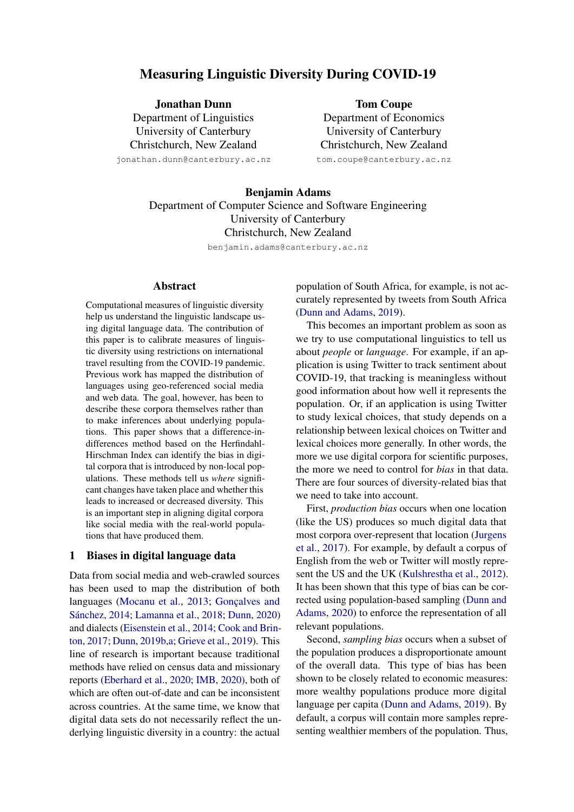# Measuring Linguistic Diversity During COVID-19

Jonathan Dunn Department of Linguistics University of Canterbury Christchurch, New Zealand jonathan.dunn@canterbury.ac.nz

Tom Coupe Department of Economics University of Canterbury Christchurch, New Zealand

tom.coupe@canterbury.ac.nz

Benjamin Adams Department of Computer Science and Software Engineering University of Canterbury Christchurch, New Zealand

benjamin.adams@canterbury.ac.nz

#### Abstract

Computational measures of linguistic diversity help us understand the linguistic landscape using digital language data. The contribution of this paper is to calibrate measures of linguistic diversity using restrictions on international travel resulting from the COVID-19 pandemic. Previous work has mapped the distribution of languages using geo-referenced social media and web data. The goal, however, has been to describe these corpora themselves rather than to make inferences about underlying populations. This paper shows that a difference-indifferences method based on the Herfindahl-Hirschman Index can identify the bias in digital corpora that is introduced by non-local populations. These methods tell us *where* significant changes have taken place and whether this leads to increased or decreased diversity. This is an important step in aligning digital corpora like social media with the real-world populations that have produced them.

#### 1 Biases in digital language data

Data from social media and web-crawled sources has been used to map the distribution of both languages [\(Mocanu et al.,](#page-9-0) [2013;](#page-9-0) Gonçalves and Sánchez, [2014;](#page-9-1) [Lamanna et al.,](#page-9-2) [2018;](#page-9-2) [Dunn,](#page-9-3) [2020\)](#page-9-3) and dialects [\(Eisenstein et al.,](#page-9-4) [2014;](#page-9-4) [Cook and Brin](#page-9-5)[ton,](#page-9-5) [2017;](#page-9-5) [Dunn,](#page-9-6) [2019b](#page-9-6)[,a;](#page-9-7) [Grieve et al.,](#page-9-8) [2019\)](#page-9-8). This line of research is important because traditional methods have relied on census data and missionary reports [\(Eberhard et al.,](#page-9-9) [2020;](#page-9-9) [IMB,](#page-9-10) [2020\)](#page-9-10), both of which are often out-of-date and can be inconsistent across countries. At the same time, we know that digital data sets do not necessarily reflect the underlying linguistic diversity in a country: the actual

population of South Africa, for example, is not accurately represented by tweets from South Africa [\(Dunn and Adams,](#page-9-11) [2019\)](#page-9-11).

This becomes an important problem as soon as we try to use computational linguistics to tell us about *people* or *language*. For example, if an application is using Twitter to track sentiment about COVID-19, that tracking is meaningless without good information about how well it represents the population. Or, if an application is using Twitter to study lexical choices, that study depends on a relationship between lexical choices on Twitter and lexical choices more generally. In other words, the more we use digital corpora for scientific purposes, the more we need to control for *bias* in that data. There are four sources of diversity-related bias that we need to take into account.

First, *production bias* occurs when one location (like the US) produces so much digital data that most corpora over-represent that location [\(Jurgens](#page-9-12) [et al.,](#page-9-12) [2017\)](#page-9-12). For example, by default a corpus of English from the web or Twitter will mostly represent the US and the UK [\(Kulshrestha et al.,](#page-9-13) [2012\)](#page-9-13). It has been shown that this type of bias can be corrected using population-based sampling [\(Dunn and](#page-9-14) [Adams,](#page-9-14) [2020\)](#page-9-14) to enforce the representation of all relevant populations.

Second, *sampling bias* occurs when a subset of the population produces a disproportionate amount of the overall data. This type of bias has been shown to be closely related to economic measures: more wealthy populations produce more digital language per capita [\(Dunn and Adams,](#page-9-11) [2019\)](#page-9-11). By default, a corpus will contain more samples representing wealthier members of the population. Thus,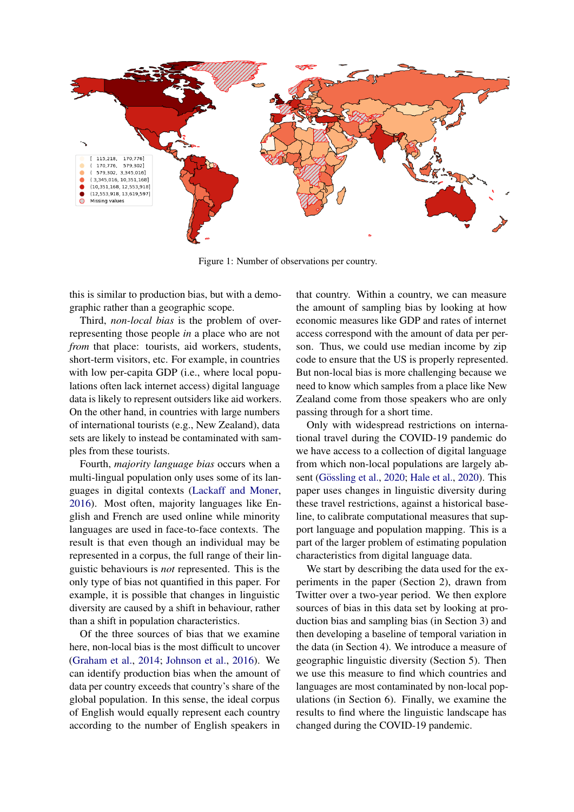<span id="page-1-0"></span>

Figure 1: Number of observations per country.

this is similar to production bias, but with a demographic rather than a geographic scope.

Third, *non-local bias* is the problem of overrepresenting those people *in* a place who are not *from* that place: tourists, aid workers, students, short-term visitors, etc. For example, in countries with low per-capita GDP (i.e., where local populations often lack internet access) digital language data is likely to represent outsiders like aid workers. On the other hand, in countries with large numbers of international tourists (e.g., New Zealand), data sets are likely to instead be contaminated with samples from these tourists.

Fourth, *majority language bias* occurs when a multi-lingual population only uses some of its languages in digital contexts [\(Lackaff and Moner,](#page-9-15) [2016\)](#page-9-15). Most often, majority languages like English and French are used online while minority languages are used in face-to-face contexts. The result is that even though an individual may be represented in a corpus, the full range of their linguistic behaviours is *not* represented. This is the only type of bias not quantified in this paper. For example, it is possible that changes in linguistic diversity are caused by a shift in behaviour, rather than a shift in population characteristics.

Of the three sources of bias that we examine here, non-local bias is the most difficult to uncover [\(Graham et al.,](#page-9-16) [2014;](#page-9-16) [Johnson et al.,](#page-9-17) [2016\)](#page-9-17). We can identify production bias when the amount of data per country exceeds that country's share of the global population. In this sense, the ideal corpus of English would equally represent each country according to the number of English speakers in

that country. Within a country, we can measure the amount of sampling bias by looking at how economic measures like GDP and rates of internet access correspond with the amount of data per person. Thus, we could use median income by zip code to ensure that the US is properly represented. But non-local bias is more challenging because we need to know which samples from a place like New Zealand come from those speakers who are only passing through for a short time.

Only with widespread restrictions on international travel during the COVID-19 pandemic do we have access to a collection of digital language from which non-local populations are largely ab-sent (Gössling et al., [2020;](#page-9-18) [Hale et al.,](#page-9-19) [2020\)](#page-9-19). This paper uses changes in linguistic diversity during these travel restrictions, against a historical baseline, to calibrate computational measures that support language and population mapping. This is a part of the larger problem of estimating population characteristics from digital language data.

We start by describing the data used for the experiments in the paper (Section 2), drawn from Twitter over a two-year period. We then explore sources of bias in this data set by looking at production bias and sampling bias (in Section 3) and then developing a baseline of temporal variation in the data (in Section 4). We introduce a measure of geographic linguistic diversity (Section 5). Then we use this measure to find which countries and languages are most contaminated by non-local populations (in Section 6). Finally, we examine the results to find where the linguistic landscape has changed during the COVID-19 pandemic.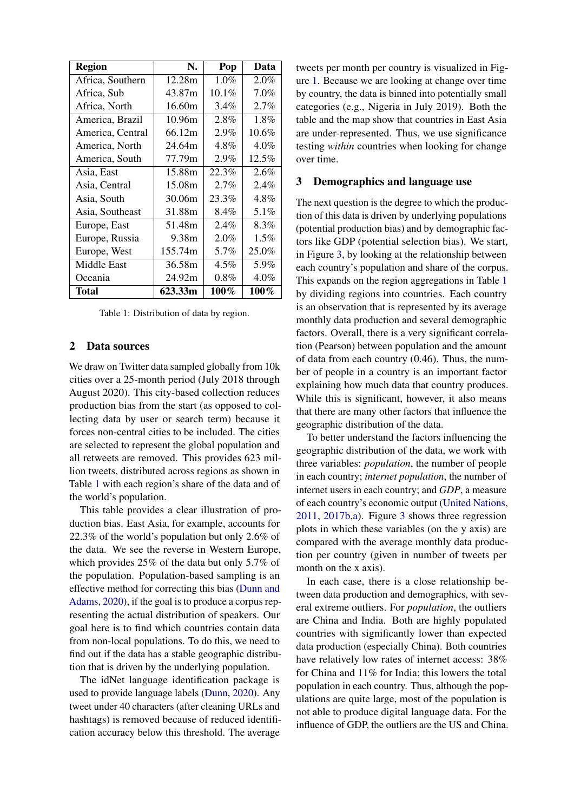<span id="page-2-0"></span>

| <b>Region</b>    | N.      | Pop      | Data     |
|------------------|---------|----------|----------|
| Africa, Southern | 12.28m  | 1.0%     | 2.0%     |
| Africa, Sub      | 43.87m  | $10.1\%$ | $7.0\%$  |
| Africa, North    | 16.60m  | 3.4%     | 2.7%     |
| America, Brazil  | 10.96m  | 2.8%     | 1.8%     |
| America, Central | 66.12m  | 2.9%     | $10.6\%$ |
| America, North   | 24.64m  | 4.8%     | $4.0\%$  |
| America, South   | 77.79m  | 2.9%     | 12.5%    |
| Asia, East       | 15.88m  | 22.3%    | 2.6%     |
| Asia, Central    | 15.08m  | 2.7%     | 2.4%     |
| Asia, South      | 30.06m  | 23.3%    | 4.8%     |
| Asia, Southeast  | 31.88m  | 8.4%     | $5.1\%$  |
| Europe, East     | 51.48m  | 2.4%     | $8.3\%$  |
| Europe, Russia   | 9.38m   | 2.0%     | 1.5%     |
| Europe, West     | 155.74m | 5.7%     | 25.0%    |
| Middle East      | 36.58m  | 4.5%     | 5.9%     |
| Oceania          | 24.92m  | $0.8\%$  | $4.0\%$  |
| Total            | 623.33m | $100\%$  | $100\%$  |

Table 1: Distribution of data by region.

#### 2 Data sources

We draw on Twitter data sampled globally from 10k cities over a 25-month period (July 2018 through August 2020). This city-based collection reduces production bias from the start (as opposed to collecting data by user or search term) because it forces non-central cities to be included. The cities are selected to represent the global population and all retweets are removed. This provides 623 million tweets, distributed across regions as shown in Table [1](#page-2-0) with each region's share of the data and of the world's population.

This table provides a clear illustration of production bias. East Asia, for example, accounts for 22.3% of the world's population but only 2.6% of the data. We see the reverse in Western Europe, which provides 25% of the data but only 5.7% of the population. Population-based sampling is an effective method for correcting this bias [\(Dunn and](#page-9-14) [Adams,](#page-9-14) [2020\)](#page-9-14), if the goal is to produce a corpus representing the actual distribution of speakers. Our goal here is to find which countries contain data from non-local populations. To do this, we need to find out if the data has a stable geographic distribution that is driven by the underlying population.

The idNet language identification package is used to provide language labels [\(Dunn,](#page-9-3) [2020\)](#page-9-3). Any tweet under 40 characters (after cleaning URLs and hashtags) is removed because of reduced identification accuracy below this threshold. The average tweets per month per country is visualized in Figure [1.](#page-1-0) Because we are looking at change over time by country, the data is binned into potentially small categories (e.g., Nigeria in July 2019). Both the table and the map show that countries in East Asia are under-represented. Thus, we use significance testing *within* countries when looking for change over time.

### 3 Demographics and language use

The next question is the degree to which the production of this data is driven by underlying populations (potential production bias) and by demographic factors like GDP (potential selection bias). We start, in Figure [3,](#page-3-0) by looking at the relationship between each country's population and share of the corpus. This expands on the region aggregations in Table [1](#page-2-0) by dividing regions into countries. Each country is an observation that is represented by its average monthly data production and several demographic factors. Overall, there is a very significant correlation (Pearson) between population and the amount of data from each country (0.46). Thus, the number of people in a country is an important factor explaining how much data that country produces. While this is significant, however, it also means that there are many other factors that influence the geographic distribution of the data.

To better understand the factors influencing the geographic distribution of the data, we work with three variables: *population*, the number of people in each country; *internet population*, the number of internet users in each country; and *GDP*, a measure of each country's economic output [\(United Nations,](#page-9-20) [2011,](#page-9-20) [2017b](#page-9-21)[,a\)](#page-9-22). Figure [3](#page-3-0) shows three regression plots in which these variables (on the y axis) are compared with the average monthly data production per country (given in number of tweets per month on the x axis).

In each case, there is a close relationship between data production and demographics, with several extreme outliers. For *population*, the outliers are China and India. Both are highly populated countries with significantly lower than expected data production (especially China). Both countries have relatively low rates of internet access: 38% for China and 11% for India; this lowers the total population in each country. Thus, although the populations are quite large, most of the population is not able to produce digital language data. For the influence of GDP, the outliers are the US and China.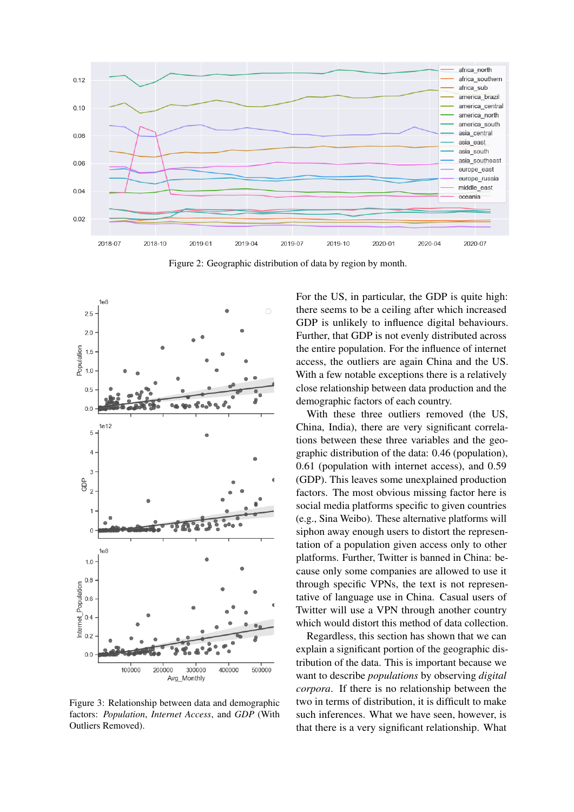<span id="page-3-1"></span>

Figure 2: Geographic distribution of data by region by month.

<span id="page-3-0"></span>

Figure 3: Relationship between data and demographic factors: *Population*, *Internet Access*, and *GDP* (With Outliers Removed).

For the US, in particular, the GDP is quite high: there seems to be a ceiling after which increased GDP is unlikely to influence digital behaviours. Further, that GDP is not evenly distributed across the entire population. For the influence of internet access, the outliers are again China and the US. With a few notable exceptions there is a relatively close relationship between data production and the demographic factors of each country.

With these three outliers removed (the US, China, India), there are very significant correlations between these three variables and the geographic distribution of the data: 0.46 (population), 0.61 (population with internet access), and 0.59 (GDP). This leaves some unexplained production factors. The most obvious missing factor here is social media platforms specific to given countries (e.g., Sina Weibo). These alternative platforms will siphon away enough users to distort the representation of a population given access only to other platforms. Further, Twitter is banned in China: because only some companies are allowed to use it through specific VPNs, the text is not representative of language use in China. Casual users of Twitter will use a VPN through another country which would distort this method of data collection.

Regardless, this section has shown that we can explain a significant portion of the geographic distribution of the data. This is important because we want to describe *populations* by observing *digital corpora*. If there is no relationship between the two in terms of distribution, it is difficult to make such inferences. What we have seen, however, is that there is a very significant relationship. What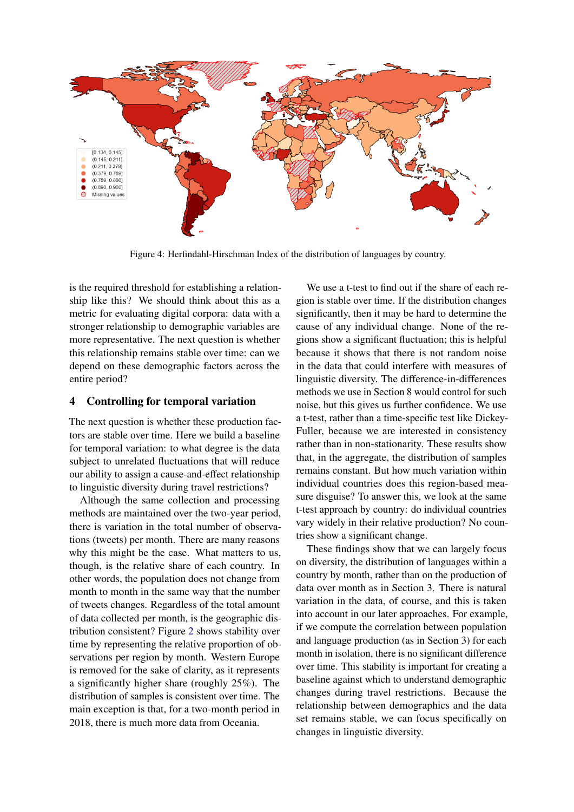<span id="page-4-0"></span>

Figure 4: Herfindahl-Hirschman Index of the distribution of languages by country.

is the required threshold for establishing a relationship like this? We should think about this as a metric for evaluating digital corpora: data with a stronger relationship to demographic variables are more representative. The next question is whether this relationship remains stable over time: can we depend on these demographic factors across the entire period?

# 4 Controlling for temporal variation

The next question is whether these production factors are stable over time. Here we build a baseline for temporal variation: to what degree is the data subject to unrelated fluctuations that will reduce our ability to assign a cause-and-effect relationship to linguistic diversity during travel restrictions?

Although the same collection and processing methods are maintained over the two-year period, there is variation in the total number of observations (tweets) per month. There are many reasons why this might be the case. What matters to us, though, is the relative share of each country. In other words, the population does not change from month to month in the same way that the number of tweets changes. Regardless of the total amount of data collected per month, is the geographic distribution consistent? Figure [2](#page-3-1) shows stability over time by representing the relative proportion of observations per region by month. Western Europe is removed for the sake of clarity, as it represents a significantly higher share (roughly 25%). The distribution of samples is consistent over time. The main exception is that, for a two-month period in 2018, there is much more data from Oceania.

We use a t-test to find out if the share of each region is stable over time. If the distribution changes significantly, then it may be hard to determine the cause of any individual change. None of the regions show a significant fluctuation; this is helpful because it shows that there is not random noise in the data that could interfere with measures of linguistic diversity. The difference-in-differences methods we use in Section 8 would control for such noise, but this gives us further confidence. We use a t-test, rather than a time-specific test like Dickey-Fuller, because we are interested in consistency rather than in non-stationarity. These results show that, in the aggregate, the distribution of samples remains constant. But how much variation within individual countries does this region-based measure disguise? To answer this, we look at the same t-test approach by country: do individual countries vary widely in their relative production? No countries show a significant change.

These findings show that we can largely focus on diversity, the distribution of languages within a country by month, rather than on the production of data over month as in Section 3. There is natural variation in the data, of course, and this is taken into account in our later approaches. For example, if we compute the correlation between population and language production (as in Section 3) for each month in isolation, there is no significant difference over time. This stability is important for creating a baseline against which to understand demographic changes during travel restrictions. Because the relationship between demographics and the data set remains stable, we can focus specifically on changes in linguistic diversity.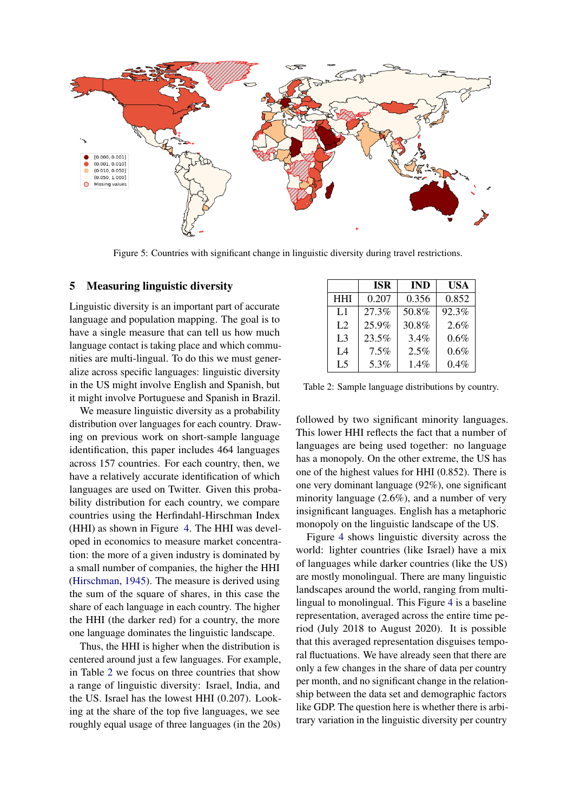<span id="page-5-1"></span>

Figure 5: Countries with significant change in linguistic diversity during travel restrictions.

#### 5 Measuring linguistic diversity

Linguistic diversity is an important part of accurate language and population mapping. The goal is to have a single measure that can tell us how much language contact is taking place and which communities are multi-lingual. To do this we must generalize across specific languages: linguistic diversity in the US might involve English and Spanish, but it might involve Portuguese and Spanish in Brazil.

We measure linguistic diversity as a probability distribution over languages for each country. Drawing on previous work on short-sample language identification, this paper includes 464 languages across 157 countries. For each country, then, we have a relatively accurate identification of which languages are used on Twitter. Given this probability distribution for each country, we compare countries using the Herfindahl-Hirschman Index (HHI) as shown in Figure [4.](#page-4-0) The HHI was developed in economics to measure market concentration: the more of a given industry is dominated by a small number of companies, the higher the HHI [\(Hirschman,](#page-9-23) [1945\)](#page-9-23). The measure is derived using the sum of the square of shares, in this case the share of each language in each country. The higher the HHI (the darker red) for a country, the more one language dominates the linguistic landscape.

Thus, the HHI is higher when the distribution is centered around just a few languages. For example, in Table [2](#page-5-0) we focus on three countries that show a range of linguistic diversity: Israel, India, and the US. Israel has the lowest HHI (0.207). Looking at the share of the top five languages, we see roughly equal usage of three languages (in the 20s)

<span id="page-5-0"></span>

|                | <b>ISR</b> | <b>IND</b> | <b>USA</b> |
|----------------|------------|------------|------------|
| <b>HHI</b>     | 0.207      | 0.356      | 0.852      |
| L1             | 27.3%      | 50.8%      | 92.3%      |
| L <sub>2</sub> | 25.9%      | 30.8%      | 2.6%       |
| L <sub>3</sub> | 23.5%      | 3.4%       | 0.6%       |
| IA             | 7.5%       | 2.5%       | 0.6%       |
| L <sub>5</sub> | 5.3%       | 1.4%       | $0.4\%$    |

Table 2: Sample language distributions by country.

followed by two significant minority languages. This lower HHI reflects the fact that a number of languages are being used together: no language has a monopoly. On the other extreme, the US has one of the highest values for HHI (0.852). There is one very dominant language (92%), one significant minority language (2.6%), and a number of very insignificant languages. English has a metaphoric monopoly on the linguistic landscape of the US.

Figure [4](#page-4-0) shows linguistic diversity across the world: lighter countries (like Israel) have a mix of languages while darker countries (like the US) are mostly monolingual. There are many linguistic landscapes around the world, ranging from multilingual to monolingual. This Figure [4](#page-4-0) is a baseline representation, averaged across the entire time period (July 2018 to August 2020). It is possible that this averaged representation disguises temporal fluctuations. We have already seen that there are only a few changes in the share of data per country per month, and no significant change in the relationship between the data set and demographic factors like GDP. The question here is whether there is arbitrary variation in the linguistic diversity per country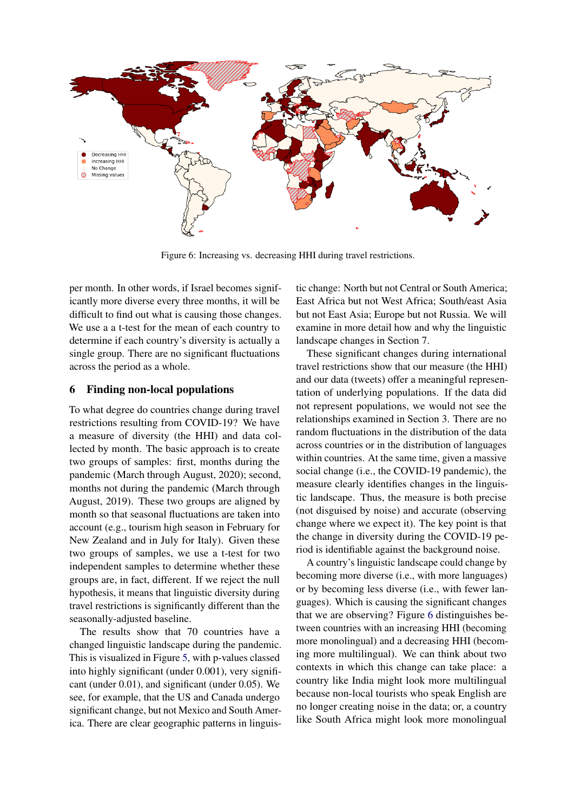<span id="page-6-0"></span>

Figure 6: Increasing vs. decreasing HHI during travel restrictions.

per month. In other words, if Israel becomes significantly more diverse every three months, it will be difficult to find out what is causing those changes. We use a a t-test for the mean of each country to determine if each country's diversity is actually a single group. There are no significant fluctuations across the period as a whole.

# 6 Finding non-local populations

To what degree do countries change during travel restrictions resulting from COVID-19? We have a measure of diversity (the HHI) and data collected by month. The basic approach is to create two groups of samples: first, months during the pandemic (March through August, 2020); second, months not during the pandemic (March through August, 2019). These two groups are aligned by month so that seasonal fluctuations are taken into account (e.g., tourism high season in February for New Zealand and in July for Italy). Given these two groups of samples, we use a t-test for two independent samples to determine whether these groups are, in fact, different. If we reject the null hypothesis, it means that linguistic diversity during travel restrictions is significantly different than the seasonally-adjusted baseline.

The results show that 70 countries have a changed linguistic landscape during the pandemic. This is visualized in Figure [5,](#page-5-1) with p-values classed into highly significant (under 0.001), very significant (under 0.01), and significant (under 0.05). We see, for example, that the US and Canada undergo significant change, but not Mexico and South America. There are clear geographic patterns in linguistic change: North but not Central or South America; East Africa but not West Africa; South/east Asia but not East Asia; Europe but not Russia. We will examine in more detail how and why the linguistic landscape changes in Section 7.

These significant changes during international travel restrictions show that our measure (the HHI) and our data (tweets) offer a meaningful representation of underlying populations. If the data did not represent populations, we would not see the relationships examined in Section 3. There are no random fluctuations in the distribution of the data across countries or in the distribution of languages within countries. At the same time, given a massive social change (i.e., the COVID-19 pandemic), the measure clearly identifies changes in the linguistic landscape. Thus, the measure is both precise (not disguised by noise) and accurate (observing change where we expect it). The key point is that the change in diversity during the COVID-19 period is identifiable against the background noise.

A country's linguistic landscape could change by becoming more diverse (i.e., with more languages) or by becoming less diverse (i.e., with fewer languages). Which is causing the significant changes that we are observing? Figure [6](#page-6-0) distinguishes between countries with an increasing HHI (becoming more monolingual) and a decreasing HHI (becoming more multilingual). We can think about two contexts in which this change can take place: a country like India might look more multilingual because non-local tourists who speak English are no longer creating noise in the data; or, a country like South Africa might look more monolingual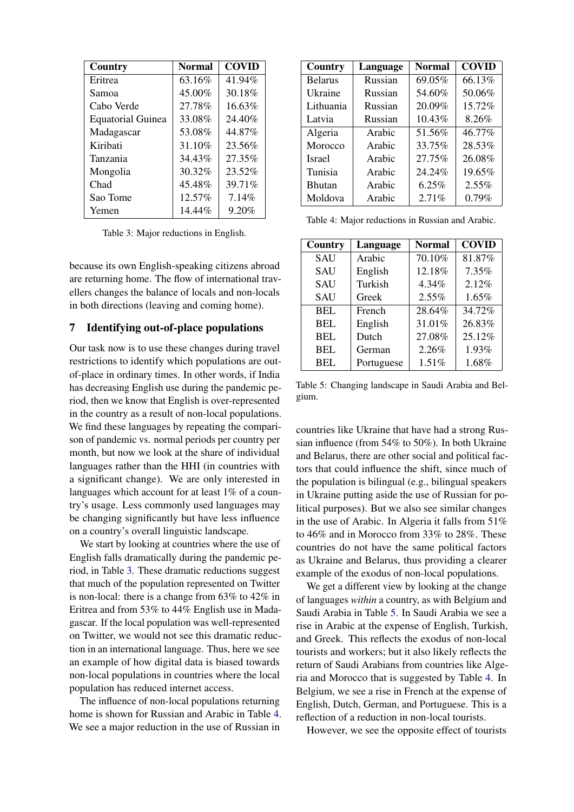<span id="page-7-0"></span>

| Country                  | <b>Normal</b> | <b>COVID</b> |
|--------------------------|---------------|--------------|
| Eritrea                  | 63.16%        | 41.94%       |
| Samoa                    | 45.00%        | 30.18%       |
| Cabo Verde               | 27.78%        | 16.63%       |
| <b>Equatorial Guinea</b> | 33.08%        | 24.40%       |
| Madagascar               | 53.08%        | 44.87%       |
| Kiribati                 | 31.10%        | 23.56%       |
| Tanzania                 | 34.43%        | 27.35%       |
| Mongolia                 | 30.32%        | 23.52%       |
| Chad                     | 45.48%        | 39.71%       |
| Sao Tome                 | 12.57%        | 7.14%        |
| Yemen                    | 14.44%        | 9.20%        |

Table 3: Major reductions in English.

because its own English-speaking citizens abroad are returning home. The flow of international travellers changes the balance of locals and non-locals in both directions (leaving and coming home).

#### 7 Identifying out-of-place populations

Our task now is to use these changes during travel restrictions to identify which populations are outof-place in ordinary times. In other words, if India has decreasing English use during the pandemic period, then we know that English is over-represented in the country as a result of non-local populations. We find these languages by repeating the comparison of pandemic vs. normal periods per country per month, but now we look at the share of individual languages rather than the HHI (in countries with a significant change). We are only interested in languages which account for at least 1% of a country's usage. Less commonly used languages may be changing significantly but have less influence on a country's overall linguistic landscape.

We start by looking at countries where the use of English falls dramatically during the pandemic period, in Table [3.](#page-7-0) These dramatic reductions suggest that much of the population represented on Twitter is non-local: there is a change from 63% to 42% in Eritrea and from 53% to 44% English use in Madagascar. If the local population was well-represented on Twitter, we would not see this dramatic reduction in an international language. Thus, here we see an example of how digital data is biased towards non-local populations in countries where the local population has reduced internet access.

The influence of non-local populations returning home is shown for Russian and Arabic in Table [4.](#page-7-1) We see a major reduction in the use of Russian in

<span id="page-7-1"></span>

| Country        | Language | <b>Normal</b> | <b>COVID</b> |
|----------------|----------|---------------|--------------|
| <b>Belarus</b> | Russian  | 69.05%        | 66.13%       |
| Ukraine        | Russian  | 54.60%        | 50.06%       |
| Lithuania      | Russian  | 20.09%        | 15.72%       |
| Latvia         | Russian  | 10.43%        | 8.26%        |
| Algeria        | Arabic   | 51.56%        | 46.77%       |
| Morocco        | Arabic   | 33.75%        | 28.53%       |
| <b>Israel</b>  | Arabic   | 27.75%        | 26.08%       |
| Tunisia        | Arabic   | 24.24%        | 19.65%       |
| <b>Bhutan</b>  | Arabic   | 6.25%         | 2.55%        |
| Moldova        | Arabic   | 2.71%         | 0.79%        |

Table 4: Major reductions in Russian and Arabic.

<span id="page-7-2"></span>

| Country    | Language   | <b>Normal</b> | <b>COVID</b> |
|------------|------------|---------------|--------------|
| <b>SAU</b> | Arabic     | 70.10%        | 81.87%       |
| <b>SAU</b> | English    | 12.18%        | $7.35\%$     |
| <b>SAU</b> | Turkish    | 4.34%         | 2.12%        |
| <b>SAU</b> | Greek      | 2.55%         | 1.65%        |
| BEL        | French     | 28.64%        | 34.72%       |
| <b>BEL</b> | English    | 31.01%        | 26.83%       |
| <b>BEL</b> | Dutch      | 27.08%        | 25.12%       |
| <b>BEL</b> | German     | 2.26%         | 1.93%        |
| <b>BEL</b> | Portuguese | 1.51%         | 1.68%        |

Table 5: Changing landscape in Saudi Arabia and Belgium.

countries like Ukraine that have had a strong Russian influence (from 54% to 50%). In both Ukraine and Belarus, there are other social and political factors that could influence the shift, since much of the population is bilingual (e.g., bilingual speakers in Ukraine putting aside the use of Russian for political purposes). But we also see similar changes in the use of Arabic. In Algeria it falls from 51% to 46% and in Morocco from 33% to 28%. These countries do not have the same political factors as Ukraine and Belarus, thus providing a clearer example of the exodus of non-local populations.

We get a different view by looking at the change of languages *within* a country, as with Belgium and Saudi Arabia in Table [5.](#page-7-2) In Saudi Arabia we see a rise in Arabic at the expense of English, Turkish, and Greek. This reflects the exodus of non-local tourists and workers; but it also likely reflects the return of Saudi Arabians from countries like Algeria and Morocco that is suggested by Table [4.](#page-7-1) In Belgium, we see a rise in French at the expense of English, Dutch, German, and Portuguese. This is a reflection of a reduction in non-local tourists.

However, we see the opposite effect of tourists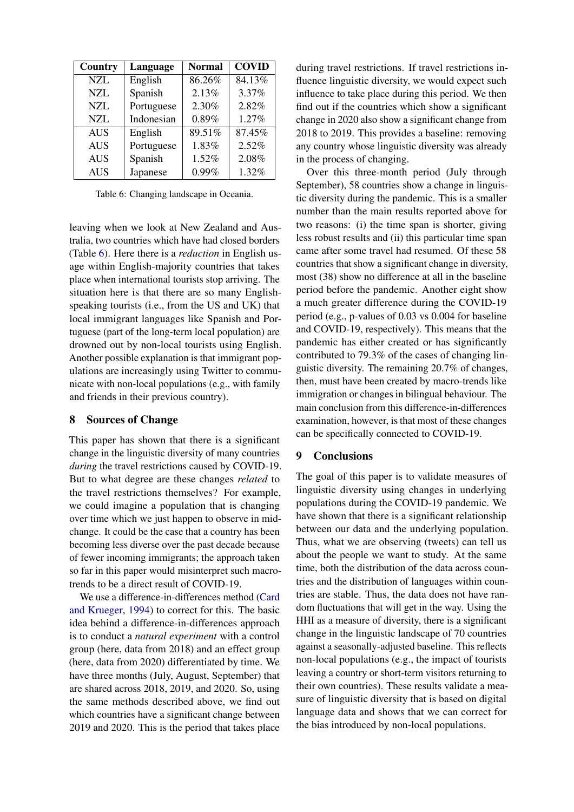<span id="page-8-0"></span>

| Country    | Language   | <b>Normal</b> | <b>COVID</b> |
|------------|------------|---------------|--------------|
| <b>NZL</b> | English    | 86.26%        | 84.13%       |
| NZL        | Spanish    | 2.13%         | 3.37%        |
| <b>NZL</b> | Portuguese | 2.30%         | 2.82%        |
| <b>NZL</b> | Indonesian | 0.89%         | 1.27%        |
| <b>AUS</b> | English    | 89.51%        | 87.45%       |
| <b>AUS</b> | Portuguese | 1.83%         | 2.52%        |
| <b>AUS</b> | Spanish    | 1.52%         | 2.08%        |
| <b>AUS</b> | Japanese   | 0.99%         | 1.32%        |

Table 6: Changing landscape in Oceania.

leaving when we look at New Zealand and Australia, two countries which have had closed borders (Table [6\)](#page-8-0). Here there is a *reduction* in English usage within English-majority countries that takes place when international tourists stop arriving. The situation here is that there are so many Englishspeaking tourists (i.e., from the US and UK) that local immigrant languages like Spanish and Portuguese (part of the long-term local population) are drowned out by non-local tourists using English. Another possible explanation is that immigrant populations are increasingly using Twitter to communicate with non-local populations (e.g., with family and friends in their previous country).

# 8 Sources of Change

This paper has shown that there is a significant change in the linguistic diversity of many countries *during* the travel restrictions caused by COVID-19. But to what degree are these changes *related* to the travel restrictions themselves? For example, we could imagine a population that is changing over time which we just happen to observe in midchange. It could be the case that a country has been becoming less diverse over the past decade because of fewer incoming immigrants; the approach taken so far in this paper would misinterpret such macrotrends to be a direct result of COVID-19.

We use a difference-in-differences method [\(Card](#page-9-24) [and Krueger,](#page-9-24) [1994\)](#page-9-24) to correct for this. The basic idea behind a difference-in-differences approach is to conduct a *natural experiment* with a control group (here, data from 2018) and an effect group (here, data from 2020) differentiated by time. We have three months (July, August, September) that are shared across 2018, 2019, and 2020. So, using the same methods described above, we find out which countries have a significant change between 2019 and 2020. This is the period that takes place

during travel restrictions. If travel restrictions influence linguistic diversity, we would expect such influence to take place during this period. We then find out if the countries which show a significant change in 2020 also show a significant change from 2018 to 2019. This provides a baseline: removing any country whose linguistic diversity was already in the process of changing.

Over this three-month period (July through September), 58 countries show a change in linguistic diversity during the pandemic. This is a smaller number than the main results reported above for two reasons: (i) the time span is shorter, giving less robust results and (ii) this particular time span came after some travel had resumed. Of these 58 countries that show a significant change in diversity, most (38) show no difference at all in the baseline period before the pandemic. Another eight show a much greater difference during the COVID-19 period (e.g., p-values of 0.03 vs 0.004 for baseline and COVID-19, respectively). This means that the pandemic has either created or has significantly contributed to 79.3% of the cases of changing linguistic diversity. The remaining 20.7% of changes, then, must have been created by macro-trends like immigration or changes in bilingual behaviour. The main conclusion from this difference-in-differences examination, however, is that most of these changes can be specifically connected to COVID-19.

# 9 Conclusions

The goal of this paper is to validate measures of linguistic diversity using changes in underlying populations during the COVID-19 pandemic. We have shown that there is a significant relationship between our data and the underlying population. Thus, what we are observing (tweets) can tell us about the people we want to study. At the same time, both the distribution of the data across countries and the distribution of languages within countries are stable. Thus, the data does not have random fluctuations that will get in the way. Using the HHI as a measure of diversity, there is a significant change in the linguistic landscape of 70 countries against a seasonally-adjusted baseline. This reflects non-local populations (e.g., the impact of tourists leaving a country or short-term visitors returning to their own countries). These results validate a measure of linguistic diversity that is based on digital language data and shows that we can correct for the bias introduced by non-local populations.